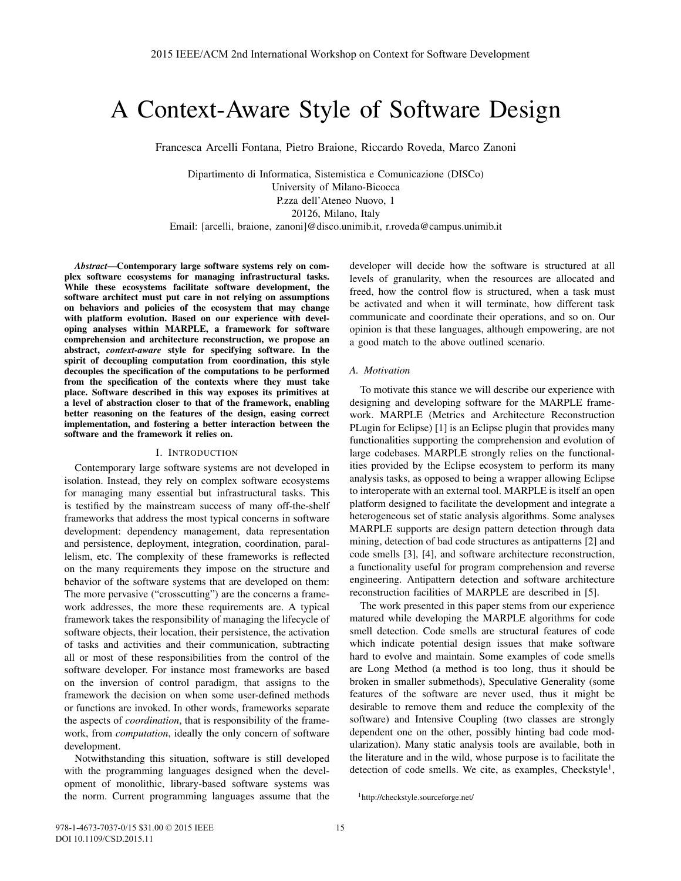# A Context-Aware Style of Software Design

Francesca Arcelli Fontana, Pietro Braione, Riccardo Roveda, Marco Zanoni

Dipartimento di Informatica, Sistemistica e Comunicazione (DISCo) University of Milano-Bicocca P.zza dell'Ateneo Nuovo, 1 20126, Milano, Italy

Email: [arcelli, braione, zanoni]@disco.unimib.it, r.roveda@campus.unimib.it

*Abstract*—Contemporary large software systems rely on complex software ecosystems for managing infrastructural tasks. While these ecosystems facilitate software development, the software architect must put care in not relying on assumptions on behaviors and policies of the ecosystem that may change with platform evolution. Based on our experience with developing analyses within MARPLE, a framework for software comprehension and architecture reconstruction, we propose an abstract, *context-aware* style for specifying software. In the spirit of decoupling computation from coordination, this style decouples the specification of the computations to be performed from the specification of the contexts where they must take place. Software described in this way exposes its primitives at a level of abstraction closer to that of the framework, enabling better reasoning on the features of the design, easing correct implementation, and fostering a better interaction between the software and the framework it relies on.

## I. INTRODUCTION

Contemporary large software systems are not developed in isolation. Instead, they rely on complex software ecosystems for managing many essential but infrastructural tasks. This is testified by the mainstream success of many off-the-shelf frameworks that address the most typical concerns in software development: dependency management, data representation and persistence, deployment, integration, coordination, parallelism, etc. The complexity of these frameworks is reflected on the many requirements they impose on the structure and behavior of the software systems that are developed on them: The more pervasive ("crosscutting") are the concerns a framework addresses, the more these requirements are. A typical framework takes the responsibility of managing the lifecycle of software objects, their location, their persistence, the activation of tasks and activities and their communication, subtracting all or most of these responsibilities from the control of the software developer. For instance most frameworks are based on the inversion of control paradigm, that assigns to the framework the decision on when some user-defined methods or functions are invoked. In other words, frameworks separate the aspects of *coordination*, that is responsibility of the framework, from *computation*, ideally the only concern of software development.

Notwithstanding this situation, software is still developed with the programming languages designed when the development of monolithic, library-based software systems was the norm. Current programming languages assume that the developer will decide how the software is structured at all levels of granularity, when the resources are allocated and freed, how the control flow is structured, when a task must be activated and when it will terminate, how different task communicate and coordinate their operations, and so on. Our opinion is that these languages, although empowering, are not a good match to the above outlined scenario.

#### *A. Motivation*

To motivate this stance we will describe our experience with designing and developing software for the MARPLE framework. MARPLE (Metrics and Architecture Reconstruction PLugin for Eclipse) [1] is an Eclipse plugin that provides many functionalities supporting the comprehension and evolution of large codebases. MARPLE strongly relies on the functionalities provided by the Eclipse ecosystem to perform its many analysis tasks, as opposed to being a wrapper allowing Eclipse to interoperate with an external tool. MARPLE is itself an open platform designed to facilitate the development and integrate a heterogeneous set of static analysis algorithms. Some analyses MARPLE supports are design pattern detection through data mining, detection of bad code structures as antipatterns [2] and code smells [3], [4], and software architecture reconstruction, a functionality useful for program comprehension and reverse engineering. Antipattern detection and software architecture reconstruction facilities of MARPLE are described in [5].

The work presented in this paper stems from our experience matured while developing the MARPLE algorithms for code smell detection. Code smells are structural features of code which indicate potential design issues that make software hard to evolve and maintain. Some examples of code smells are Long Method (a method is too long, thus it should be broken in smaller submethods), Speculative Generality (some features of the software are never used, thus it might be desirable to remove them and reduce the complexity of the software) and Intensive Coupling (two classes are strongly dependent one on the other, possibly hinting bad code modularization). Many static analysis tools are available, both in the literature and in the wild, whose purpose is to facilitate the detection of code smells. We cite, as examples, Checkstyle<sup>1</sup>,

<sup>1</sup>http://checkstyle.sourceforge.net/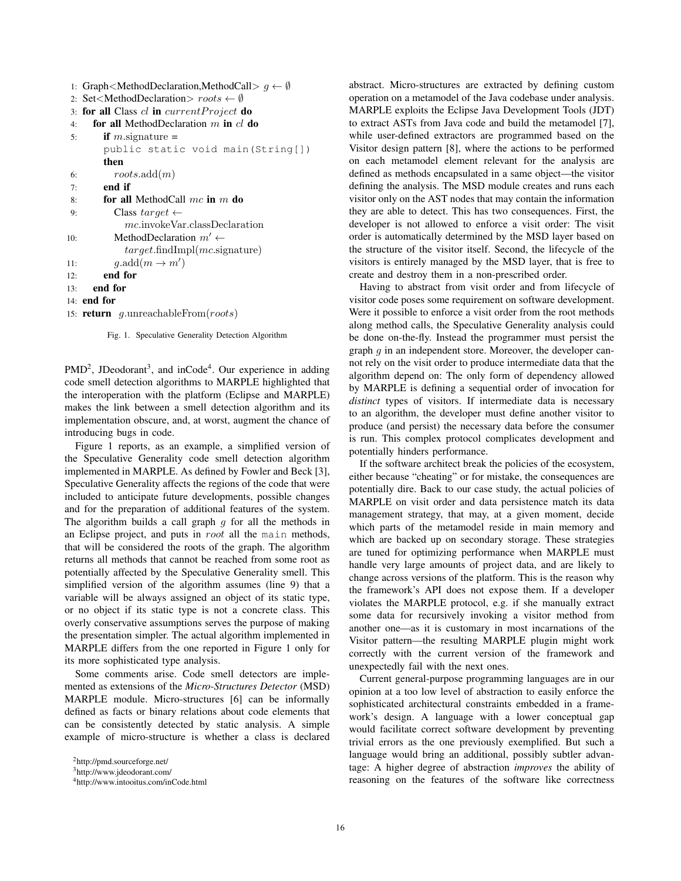```
1: Graph<MethodDeclaration,MethodCall> g ← ∅
2: Set<MethodDeclaration> roots ← ∅
3: for all Class cl in currentP roject do
4: for all MethodDeclaration m in cl do
5: if m signature =public static void main(String[])
       then
6: roots.add(m)
7: end if
8: for all MethodCall mc in m do
9: Class target ←
           mc.invokeVar.classDeclaration
10: MethodDeclaration m' \leftarrowtarget.findImpl(mc.signature)
11: g.\text{add}(m \to m')12: end for
13: end for
14: end for
15: return g.unreachableFrom(roots)
```
Fig. 1. Speculative Generality Detection Algorithm

 $PMD<sup>2</sup>$ , JDeodorant<sup>3</sup>, and inCode<sup>4</sup>. Our experience in adding code smell detection algorithms to MARPLE highlighted that the interoperation with the platform (Eclipse and MARPLE) makes the link between a smell detection algorithm and its implementation obscure, and, at worst, augment the chance of introducing bugs in code.

Figure 1 reports, as an example, a simplified version of the Speculative Generality code smell detection algorithm implemented in MARPLE. As defined by Fowler and Beck [3], Speculative Generality affects the regions of the code that were included to anticipate future developments, possible changes and for the preparation of additional features of the system. The algorithm builds a call graph *g* for all the methods in an Eclipse project, and puts in *root* all the main methods, that will be considered the roots of the graph. The algorithm returns all methods that cannot be reached from some root as potentially affected by the Speculative Generality smell. This simplified version of the algorithm assumes (line 9) that a variable will be always assigned an object of its static type, or no object if its static type is not a concrete class. This overly conservative assumptions serves the purpose of making the presentation simpler. The actual algorithm implemented in MARPLE differs from the one reported in Figure 1 only for its more sophisticated type analysis.

Some comments arise. Code smell detectors are implemented as extensions of the *Micro-Structures Detector* (MSD) MARPLE module. Micro-structures [6] can be informally defined as facts or binary relations about code elements that can be consistently detected by static analysis. A simple example of micro-structure is whether a class is declared

```
3http://www.jdeodorant.com/
```

```
4http://www.intooitus.com/inCode.html
```
abstract. Micro-structures are extracted by defining custom operation on a metamodel of the Java codebase under analysis. MARPLE exploits the Eclipse Java Development Tools (JDT) to extract ASTs from Java code and build the metamodel [7], while user-defined extractors are programmed based on the Visitor design pattern [8], where the actions to be performed on each metamodel element relevant for the analysis are defined as methods encapsulated in a same object—the visitor defining the analysis. The MSD module creates and runs each visitor only on the AST nodes that may contain the information they are able to detect. This has two consequences. First, the developer is not allowed to enforce a visit order: The visit order is automatically determined by the MSD layer based on the structure of the visitor itself. Second, the lifecycle of the visitors is entirely managed by the MSD layer, that is free to create and destroy them in a non-prescribed order.

Having to abstract from visit order and from lifecycle of visitor code poses some requirement on software development. Were it possible to enforce a visit order from the root methods along method calls, the Speculative Generality analysis could be done on-the-fly. Instead the programmer must persist the graph *g* in an independent store. Moreover, the developer cannot rely on the visit order to produce intermediate data that the algorithm depend on: The only form of dependency allowed by MARPLE is defining a sequential order of invocation for *distinct* types of visitors. If intermediate data is necessary to an algorithm, the developer must define another visitor to produce (and persist) the necessary data before the consumer is run. This complex protocol complicates development and potentially hinders performance.

If the software architect break the policies of the ecosystem, either because "cheating" or for mistake, the consequences are potentially dire. Back to our case study, the actual policies of MARPLE on visit order and data persistence match its data management strategy, that may, at a given moment, decide which parts of the metamodel reside in main memory and which are backed up on secondary storage. These strategies are tuned for optimizing performance when MARPLE must handle very large amounts of project data, and are likely to change across versions of the platform. This is the reason why the framework's API does not expose them. If a developer violates the MARPLE protocol, e.g. if she manually extract some data for recursively invoking a visitor method from another one—as it is customary in most incarnations of the Visitor pattern—the resulting MARPLE plugin might work correctly with the current version of the framework and unexpectedly fail with the next ones.

Current general-purpose programming languages are in our opinion at a too low level of abstraction to easily enforce the sophisticated architectural constraints embedded in a framework's design. A language with a lower conceptual gap would facilitate correct software development by preventing trivial errors as the one previously exemplified. But such a language would bring an additional, possibly subtler advantage: A higher degree of abstraction *improves* the ability of reasoning on the features of the software like correctness

<sup>2</sup>http://pmd.sourceforge.net/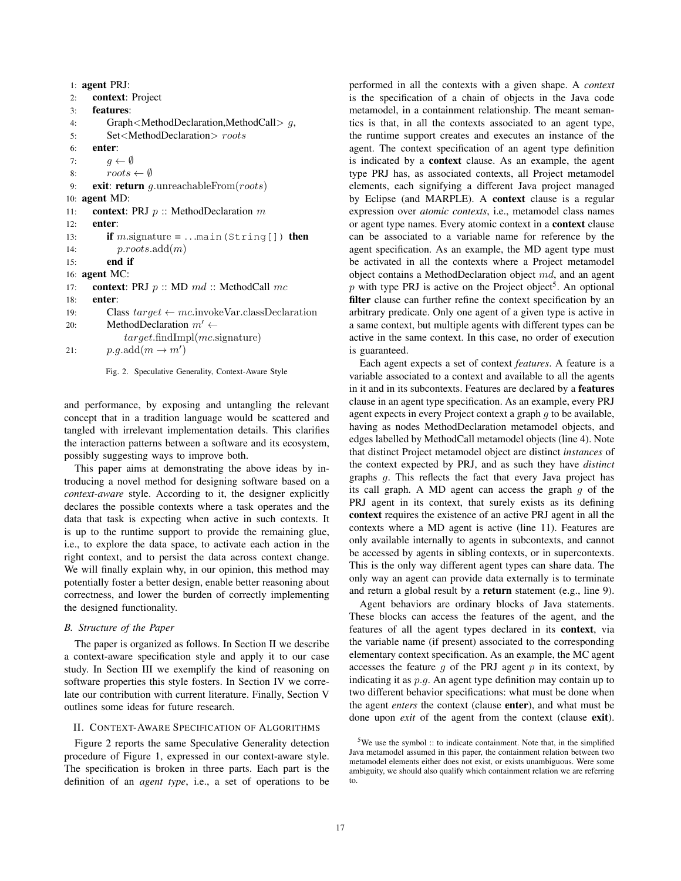```
1: agent PRJ:
2: context: Project
3: features:
4: Graph<MethodDeclaration,MethodCall> g,
5: Set<MethodDeclaration> roots
6: enter:
7: g \leftarrow \emptyset<br>8: roots8: roots \leftarrow \emptyset<br>9: exit: return a
      9: exit: return g.unreachableFrom(roots)
10: agent MD:
11: context: PRJ p :: MethodDeclaration m
12: enter:
13: if m.signature = \dots main(String[]) then
14: p.roots.add(m)
15: end if
16: agent MC:
17: context: PRJ p :: MD md :: MethodCall mc
18: enter:
19: Class target \leftarrow mc.invokeVar.classDeclaration<br>20: MethodDeclaration m' \leftarrow20: MethodDeclaration m' \leftarrowtarget.findImpl(mc.signature)
21: p.g. \text{add}(m \rightarrow m')
```


and performance, by exposing and untangling the relevant concept that in a tradition language would be scattered and tangled with irrelevant implementation details. This clarifies the interaction patterns between a software and its ecosystem, possibly suggesting ways to improve both.

This paper aims at demonstrating the above ideas by introducing a novel method for designing software based on a *context-aware* style. According to it, the designer explicitly declares the possible contexts where a task operates and the data that task is expecting when active in such contexts. It is up to the runtime support to provide the remaining glue, i.e., to explore the data space, to activate each action in the right context, and to persist the data across context change. We will finally explain why, in our opinion, this method may potentially foster a better design, enable better reasoning about correctness, and lower the burden of correctly implementing the designed functionality.

### *B. Structure of the Paper*

The paper is organized as follows. In Section II we describe a context-aware specification style and apply it to our case study. In Section III we exemplify the kind of reasoning on software properties this style fosters. In Section IV we correlate our contribution with current literature. Finally, Section V outlines some ideas for future research.

#### II. CONTEXT-AWARE SPECIFICATION OF ALGORITHMS

Figure 2 reports the same Speculative Generality detection procedure of Figure 1, expressed in our context-aware style. The specification is broken in three parts. Each part is the definition of an *agent type*, i.e., a set of operations to be

performed in all the contexts with a given shape. A *context* is the specification of a chain of objects in the Java code metamodel, in a containment relationship. The meant semantics is that, in all the contexts associated to an agent type, the runtime support creates and executes an instance of the agent. The context specification of an agent type definition is indicated by a context clause. As an example, the agent type PRJ has, as associated contexts, all Project metamodel elements, each signifying a different Java project managed by Eclipse (and MARPLE). A context clause is a regular expression over *atomic contexts*, i.e., metamodel class names or agent type names. Every atomic context in a context clause can be associated to a variable name for reference by the agent specification. As an example, the MD agent type must be activated in all the contexts where a Project metamodel object contains a MethodDeclaration object *md*, and an agent *p* with type PRJ is active on the Project object<sup>5</sup>. An optional filter clause can further refine the context specification by an arbitrary predicate. Only one agent of a given type is active in a same context, but multiple agents with different types can be active in the same context. In this case, no order of execution is guaranteed.

Each agent expects a set of context *features*. A feature is a variable associated to a context and available to all the agents in it and in its subcontexts. Features are declared by a features clause in an agent type specification. As an example, every PRJ agent expects in every Project context a graph *g* to be available, having as nodes MethodDeclaration metamodel objects, and edges labelled by MethodCall metamodel objects (line 4). Note that distinct Project metamodel object are distinct *instances* of the context expected by PRJ, and as such they have *distinct* graphs *g*. This reflects the fact that every Java project has its call graph. A MD agent can access the graph *g* of the PRJ agent in its context, that surely exists as its defining context requires the existence of an active PRJ agent in all the contexts where a MD agent is active (line 11). Features are only available internally to agents in subcontexts, and cannot be accessed by agents in sibling contexts, or in supercontexts. This is the only way different agent types can share data. The only way an agent can provide data externally is to terminate and return a global result by a **return** statement (e.g., line 9).

Agent behaviors are ordinary blocks of Java statements. These blocks can access the features of the agent, and the features of all the agent types declared in its context, via the variable name (if present) associated to the corresponding elementary context specification. As an example, the MC agent accesses the feature  $g$  of the PRJ agent  $p$  in its context, by indicating it as *p.g*. An agent type definition may contain up to two different behavior specifications: what must be done when the agent *enters* the context (clause enter), and what must be done upon *exit* of the agent from the context (clause exit).

 $5$ We use the symbol :: to indicate containment. Note that, in the simplified Java metamodel assumed in this paper, the containment relation between two metamodel elements either does not exist, or exists unambiguous. Were some ambiguity, we should also qualify which containment relation we are referring to.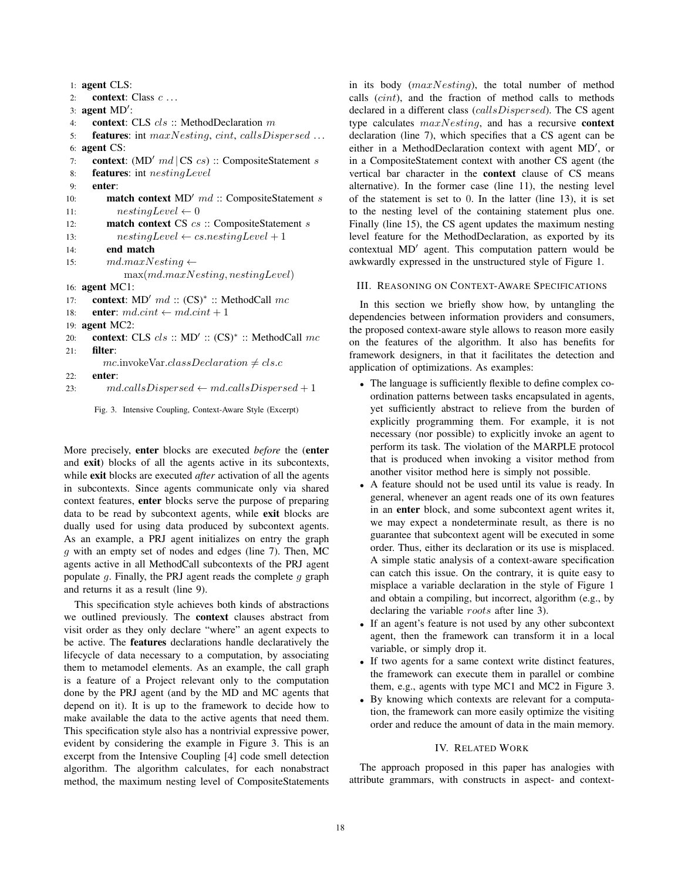```
1: agent CLS:
2: context: Class c ...
 3: agent MD':
4: context: CLS cls :: MethodDeclaration m
5: features: int maxNesting, cint, callsDispersed ...
6: agent CS:
 7: context: (MD-
 md | CS cs) :: CompositeStatement s
8: features: int nestingLevel
9: enter:
10: match context MD' md :: CompositeStatement s
11: nestingLevel \leftarrow 0<br>12: match context CS cs
         match context CS cs :: CompositeStatement s
13: nestingLevel \leftarrow cs.nestingLevel + 1<br>14: end match
         end match
15: md.maxNesting ←
             max(md.maxNesting, nestingLevel)
16: agent MC1:
17: context: MD-
 md :: (CS)∗ :: MethodCall mc
18: enter: md.cint \leftarrow md.cint + 119: agent MC2:
20: context: CLS cls :: MD' :: (CS)<sup>∗</sup> :: MethodCall mc
21 \cdot filter:
        mc.\n    invokeVar.classDe characterization \neq cls.c22: enter:
23: md. calls Dispersed \leftarrow md. calls Dispersed + 1
```


More precisely, enter blocks are executed *before* the (enter and exit) blocks of all the agents active in its subcontexts, while exit blocks are executed *after* activation of all the agents in subcontexts. Since agents communicate only via shared context features, enter blocks serve the purpose of preparing data to be read by subcontext agents, while exit blocks are dually used for using data produced by subcontext agents. As an example, a PRJ agent initializes on entry the graph *g* with an empty set of nodes and edges (line 7). Then, MC agents active in all MethodCall subcontexts of the PRJ agent populate *g*. Finally, the PRJ agent reads the complete *g* graph and returns it as a result (line 9).

This specification style achieves both kinds of abstractions we outlined previously. The context clauses abstract from visit order as they only declare "where" an agent expects to be active. The features declarations handle declaratively the lifecycle of data necessary to a computation, by associating them to metamodel elements. As an example, the call graph is a feature of a Project relevant only to the computation done by the PRJ agent (and by the MD and MC agents that depend on it). It is up to the framework to decide how to make available the data to the active agents that need them. This specification style also has a nontrivial expressive power, evident by considering the example in Figure 3. This is an excerpt from the Intensive Coupling [4] code smell detection algorithm. The algorithm calculates, for each nonabstract method, the maximum nesting level of CompositeStatements in its body (*maxNesting*), the total number of method calls (*cint*), and the fraction of method calls to methods declared in a different class (*callsDispersed*). The CS agent type calculates *maxNesting*, and has a recursive context declaration (line 7), which specifies that a CS agent can be either in a MethodDeclaration context with agent MD', or in a CompositeStatement context with another CS agent (the vertical bar character in the context clause of CS means alternative). In the former case (line 11), the nesting level of the statement is set to 0. In the latter (line 13), it is set to the nesting level of the containing statement plus one. Finally (line 15), the CS agent updates the maximum nesting level feature for the MethodDeclaration, as exported by its contextual MD<sup>'</sup> agent. This computation pattern would be awkwardly expressed in the unstructured style of Figure 1.

## III. REASONING ON CONTEXT-AWARE SPECIFICATIONS

In this section we briefly show how, by untangling the dependencies between information providers and consumers, the proposed context-aware style allows to reason more easily on the features of the algorithm. It also has benefits for framework designers, in that it facilitates the detection and application of optimizations. As examples:

- The language is sufficiently flexible to define complex coordination patterns between tasks encapsulated in agents, yet sufficiently abstract to relieve from the burden of explicitly programming them. For example, it is not necessary (nor possible) to explicitly invoke an agent to perform its task. The violation of the MARPLE protocol that is produced when invoking a visitor method from another visitor method here is simply not possible.
- A feature should not be used until its value is ready. In general, whenever an agent reads one of its own features in an enter block, and some subcontext agent writes it, we may expect a nondeterminate result, as there is no guarantee that subcontext agent will be executed in some order. Thus, either its declaration or its use is misplaced. A simple static analysis of a context-aware specification can catch this issue. On the contrary, it is quite easy to misplace a variable declaration in the style of Figure 1 and obtain a compiling, but incorrect, algorithm (e.g., by declaring the variable *roots* after line 3).
- If an agent's feature is not used by any other subcontext agent, then the framework can transform it in a local variable, or simply drop it.
- If two agents for a same context write distinct features, the framework can execute them in parallel or combine them, e.g., agents with type MC1 and MC2 in Figure 3.
- By knowing which contexts are relevant for a computation, the framework can more easily optimize the visiting order and reduce the amount of data in the main memory.

#### IV. RELATED WORK

The approach proposed in this paper has analogies with attribute grammars, with constructs in aspect- and context